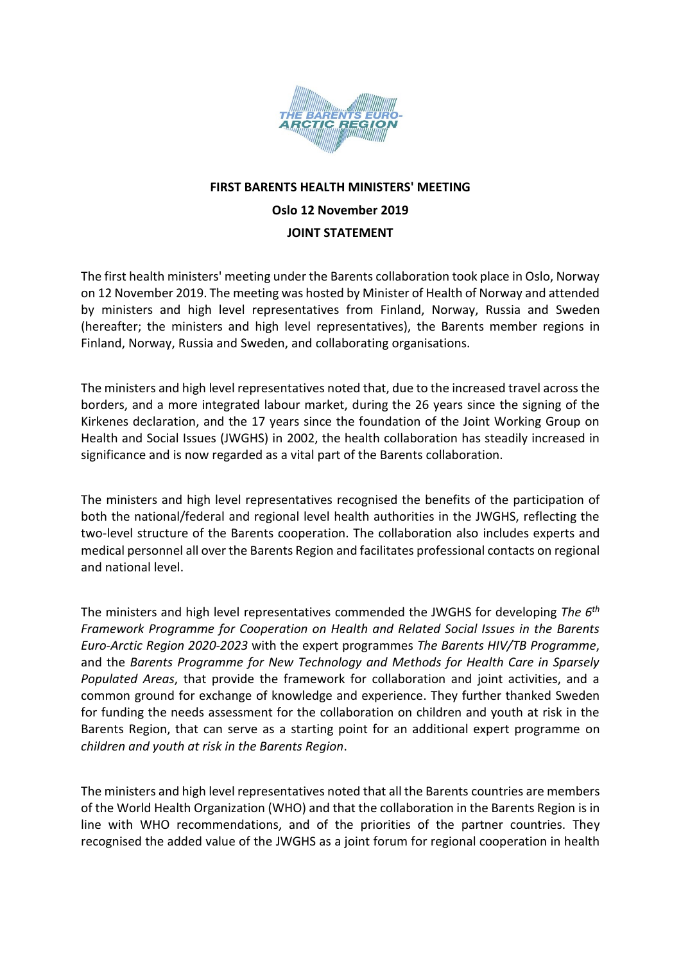

## **FIRST BARENTS HEALTH MINISTERS' MEETING Oslo 12 November 2019 JOINT STATEMENT**

The first health ministers' meeting under the Barents collaboration took place in Oslo, Norway on 12 November 2019. The meeting was hosted by Minister of Health of Norway and attended by ministers and high level representatives from Finland, Norway, Russia and Sweden (hereafter; the ministers and high level representatives), the Barents member regions in Finland, Norway, Russia and Sweden, and collaborating organisations.

The ministers and high level representatives noted that, due to the increased travel across the borders, and a more integrated labour market, during the 26 years since the signing of the Kirkenes declaration, and the 17 years since the foundation of the Joint Working Group on Health and Social Issues (JWGHS) in 2002, the health collaboration has steadily increased in significance and is now regarded as a vital part of the Barents collaboration.

The ministers and high level representatives recognised the benefits of the participation of both the national/federal and regional level health authorities in the JWGHS, reflecting the two-level structure of the Barents cooperation. The collaboration also includes experts and medical personnel all over the Barents Region and facilitates professional contacts on regional and national level.

The ministers and high level representatives commended the JWGHS for developing *The 6th Framework Programme for Cooperation on Health and Related Social Issues in the Barents Euro-Arctic Region 2020-2023* with the expert programmes *The Barents HIV/TB Programme*, and the *Barents Programme for New Technology and Methods for Health Care in Sparsely Populated Areas*, that provide the framework for collaboration and joint activities, and a common ground for exchange of knowledge and experience. They further thanked Sweden for funding the needs assessment for the collaboration on children and youth at risk in the Barents Region, that can serve as a starting point for an additional expert programme on *children and youth at risk in the Barents Region*.

The ministers and high level representatives noted that all the Barents countries are members of the World Health Organization (WHO) and that the collaboration in the Barents Region is in line with WHO recommendations, and of the priorities of the partner countries. They recognised the added value of the JWGHS as a joint forum for regional cooperation in health